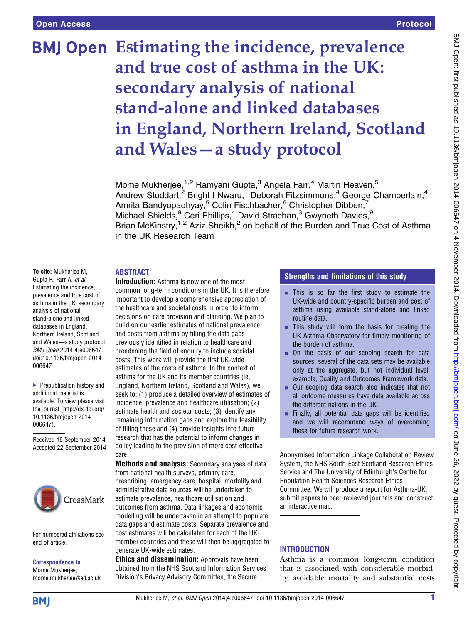# **BMJ Open** Estimating the incidence, prevalence and true cost of asthma in the UK: secondary analysis of national stand-alone and linked databases in England, Northern Ireland, Scotland and Wales—a study protocol

Mome Mukherjee,<sup>1,2</sup> Ramyani Gupta,<sup>3</sup> Angela Farr,<sup>4</sup> Martin Heaven,<sup>5</sup> Andrew Stoddart,<sup>2</sup> Bright I Nwaru,<sup>1</sup> Deborah Fitzsimmons,<sup>4</sup> George Chamberlain,<sup>4</sup> Amrita Bandyopadhyay,<sup>5</sup> Colin Fischbacher,<sup>6</sup> Christopher Dibben,7 Michael Shields,  $8$  Ceri Phillips,  $4$  David Strachan,  $3$  Gwyneth Davies,  $9$ Brian McKinstry,<sup>1,2</sup> Aziz Sheikh,<sup>2</sup> on behalf of the Burden and True Cost of Asthma in the UK Research Team

# ABSTRACT

To cite: Mukherjee M, Gupta R, Farr A, et al. Estimating the incidence, prevalence and true cost of asthma in the UK: secondary analysis of national stand-alone and linked databases in England, Northern Ireland, Scotland and Wales—a study protocol. BMJ Open 2014;4:e006647. doi:10.1136/bmjopen-2014- 006647

▶ Prepublication history and additional material is available. To view please visit the journal [\(http://dx.doi.org/](http://dx.doi.org/10.1136/bmjopen-2014-006647) [10.1136/bmjopen-2014-](http://dx.doi.org/10.1136/bmjopen-2014-006647) [006647\)](http://dx.doi.org/10.1136/bmjopen-2014-006647).

Received 16 September 2014 Accepted 22 September 2014



For numbered affiliations see end of article.

Correspondence to Mome Mukherjee; mome.mukherjee@ed.ac.uk

Introduction: Asthma is now one of the most common long-term conditions in the UK. It is therefore important to develop a comprehensive appreciation of the healthcare and societal costs in order to inform decisions on care provision and planning. We plan to build on our earlier estimates of national prevalence and costs from asthma by filling the data gaps previously identified in relation to healthcare and broadening the field of enquiry to include societal costs. This work will provide the first UK-wide estimates of the costs of asthma. In the context of asthma for the UK and its member countries (ie, England, Northern Ireland, Scotland and Wales), we seek to: (1) produce a detailed overview of estimates of incidence, prevalence and healthcare utilisation; (2) estimate health and societal costs; (3) identify any remaining information gaps and explore the feasibility of filling these and (4) provide insights into future research that has the potential to inform changes in policy leading to the provision of more cost-effective care.

Methods and analysis: Secondary analyses of data from national health surveys, primary care, prescribing, emergency care, hospital, mortality and administrative data sources will be undertaken to estimate prevalence, healthcare utilisation and outcomes from asthma. Data linkages and economic modelling will be undertaken in an attempt to populate data gaps and estimate costs. Separate prevalence and cost estimates will be calculated for each of the UKmember countries and these will then be aggregated to generate UK-wide estimates.

Ethics and dissemination: Approvals have been obtained from the NHS Scotland Information Services Division's Privacy Advisory Committee, the Secure

# Strengths and limitations of this study

- $\blacksquare$  This is so far the first study to estimate the UK-wide and country-specific burden and cost of asthma using available stand-alone and linked routine data.
- $\blacksquare$  This study will form the basis for creating the UK Asthma Observatory for timely monitoring of the burden of asthma.
- On the basis of our scoping search for data sources, several of the data sets may be available only at the aggregate, but not individual level, example, Quality and Outcomes Framework data.
- Our scoping data search also indicates that not all outcome measures have data available across the different nations in the UK.
- $\blacksquare$  Finally, all potential data gaps will be identified and we will recommend ways of overcoming these for future research work.

Anonymised Information Linkage Collaboration Review System, the NHS South-East Scotland Research Ethics Service and The University of Edinburgh's Centre for Population Health Sciences Research Ethics Committee. We will produce a report for Asthma-UK, submit papers to peer-reviewed journals and construct an interactive map.

# **INTRODUCTION**

Asthma is a common long-term condition that is associated with considerable morbidity, avoidable mortality and substantial costs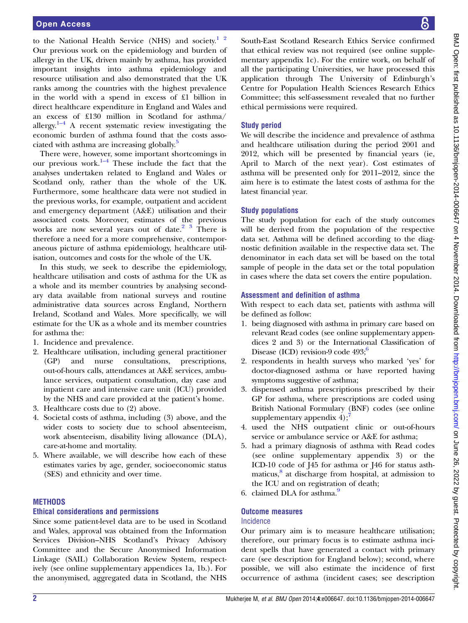to the National Health Service (NHS) and society.<sup>1</sup> <sup>2</sup> Our previous work on the epidemiology and burden of allergy in the UK, driven mainly by asthma, has provided important insights into asthma epidemiology and resource utilisation and also demonstrated that the UK ranks among the countries with the highest prevalence in the world with a spend in excess of £1 billion in direct healthcare expenditure in England and Wales and an excess of £130 million in Scotland for asthma/ allergy.<sup>[1](#page-6-0)–4</sup> A recent systematic review investigating the economic burden of asthma found that the costs asso-ciated with asthma are increasing globally.<sup>[5](#page-6-0)</sup>

There were, however, some important shortcomings in our previous work. $1-4$  $1-4$  These include the fact that the analyses undertaken related to England and Wales or Scotland only, rather than the whole of the UK. Furthermore, some healthcare data were not studied in the previous works, for example, outpatient and accident and emergency department (A&E) utilisation and their associated costs. Moreover, estimates of the previous works are now several years out of date.<sup>2</sup>  $\frac{3}{3}$  There is therefore a need for a more comprehensive, contemporaneous picture of asthma epidemiology, healthcare utilisation, outcomes and costs for the whole of the UK.

In this study, we seek to describe the epidemiology, healthcare utilisation and costs of asthma for the UK as a whole and its member countries by analysing secondary data available from national surveys and routine administrative data sources across England, Northern Ireland, Scotland and Wales. More specifically, we will estimate for the UK as a whole and its member countries for asthma the:

- 1. Incidence and prevalence.
- 2. Healthcare utilisation, including general practitioner (GP) and nurse consultations, prescriptions, out-of-hours calls, attendances at A&E services, ambulance services, outpatient consultation, day case and inpatient care and intensive care unit (ICU) provided by the NHS and care provided at the patient's home.
- 3. Healthcare costs due to (2) above.
- 4. Societal costs of asthma, including (3) above, and the wider costs to society due to school absenteeism, work absenteeism, disability living allowance (DLA), care-at-home and mortality.
- 5. Where available, we will describe how each of these estimates varies by age, gender, socioeconomic status (SES) and ethnicity and over time.

# **METHODS**

# Ethical considerations and permissions

Since some patient-level data are to be used in Scotland and Wales, approval was obtained from the Information Services Division–NHS Scotland's Privacy Advisory Committee and the Secure Anonymised Information Linkage (SAIL) Collaboration Review System, respectively (see online supplementary appendices 1a, 1b.). For the anonymised, aggregated data in Scotland, the NHS

South-East Scotland Research Ethics Service confirmed that ethical review was not required (see online supplementary appendix 1c). For the entire work, on behalf of all the participating Universities, we have processed this application through The University of Edinburgh's Centre for Population Health Sciences Research Ethics Committee; this self-assessment revealed that no further ethical permissions were required.

# Study period

We will describe the incidence and prevalence of asthma and healthcare utilisation during the period 2001 and 2012, which will be presented by financial years (ie, April to March of the next year). Cost estimates of asthma will be presented only for 2011–2012, since the aim here is to estimate the latest costs of asthma for the latest financial year.

# Study populations

The study population for each of the study outcomes will be derived from the population of the respective data set. Asthma will be defined according to the diagnostic definition available in the respective data set. The denominator in each data set will be based on the total sample of people in the data set or the total population in cases where the data set covers the entire population.

# Assessment and definition of asthma

With respect to each data set, patients with asthma will be defined as follow:

- 1. being diagnosed with asthma in primary care based on relevant Read codes (see online supplementary appendices 2 and 3) or the International Classification of Disease (ICD) revision-9 code  $493;^6$  $493;^6$
- 2. respondents in health surveys who marked 'yes' for doctor-diagnosed asthma or have reported having symptoms suggestive of asthma;
- 3. dispensed asthma prescriptions prescribed by their GP for asthma, where prescriptions are coded using British National Formulary (BNF) codes (see online supplementary appendix  $4$ );
- 4. used the NHS outpatient clinic or out-of-hours service or ambulance service or A&E for asthma;
- 5. had a primary diagnosis of asthma with Read codes (see online supplementary appendix 3) or the ICD-10 code of J45 for asthma or J46 for status asthmaticus, $\frac{8}{3}$  $\frac{8}{3}$  $\frac{8}{3}$  at discharge from hospital, at admission to the ICU and on registration of death;
- 6. claimed DLA for asthma.<sup>[9](#page-6-0)</sup>

#### Outcome measures Incidence

Our primary aim is to measure healthcare utilisation; therefore, our primary focus is to estimate asthma incident spells that have generated a contact with primary care (see description for England below); second, where possible, we will also estimate the incidence of first occurrence of asthma (incident cases; see description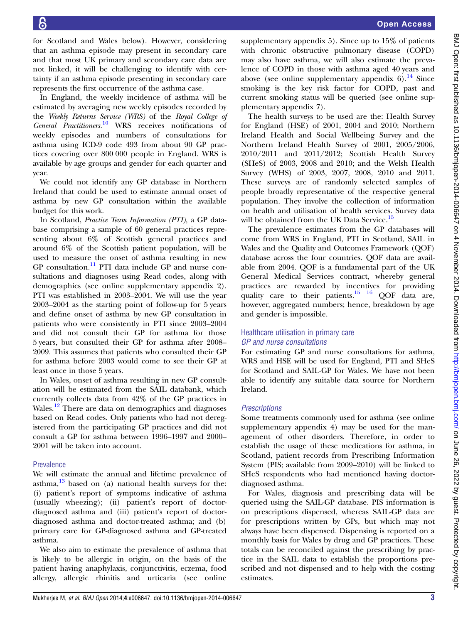for Scotland and Wales below). However, considering that an asthma episode may present in secondary care and that most UK primary and secondary care data are not linked, it will be challenging to identify with certainty if an asthma episode presenting in secondary care represents the first occurrence of the asthma case.

In England, the weekly incidence of asthma will be estimated by averaging new weekly episodes recorded by the Weekly Returns Service (WRS) of the Royal College of General Practitioners.[10](#page-6-0) WRS receives notifications of weekly episodes and numbers of consultations for asthma using ICD-9 code 493 from about 90 GP practices covering over 800 000 people in England. WRS is available by age groups and gender for each quarter and year.

We could not identify any GP database in Northern Ireland that could be used to estimate annual onset of asthma by new GP consultation within the available budget for this work.

In Scotland, Practice Team Information (PTI), a GP database comprising a sample of 60 general practices representing about 6% of Scottish general practices and around 6% of the Scottish patient population, will be used to measure the onset of asthma resulting in new  $GP$  consultation.<sup>[11](#page-6-0)</sup> PTI data include GP and nurse consultations and diagnoses using Read codes, along with demographics (see online supplementary appendix 2). PTI was established in 2003–2004. We will use the year 2003–2004 as the starting point of follow-up for 5 years and define onset of asthma by new GP consultation in patients who were consistently in PTI since 2003–2004 and did not consult their GP for asthma for those 5 years, but consulted their GP for asthma after 2008– 2009. This assumes that patients who consulted their GP for asthma before 2003 would come to see their GP at least once in those 5 years.

In Wales, onset of asthma resulting in new GP consultation will be estimated from the SAIL databank, which currently collects data from 42% of the GP practices in Wales.<sup>[12](#page-6-0)</sup> There are data on demographics and diagnoses based on Read codes. Only patients who had not deregistered from the participating GP practices and did not consult a GP for asthma between 1996–1997 and 2000– 2001 will be taken into account.

# Prevalence

We will estimate the annual and lifetime prevalence of asthma, $13$  based on (a) national health surveys for the: (i) patient's report of symptoms indicative of asthma (usually wheezing); (ii) patient's report of doctordiagnosed asthma and (iii) patient's report of doctordiagnosed asthma and doctor-treated asthma; and (b) primary care for GP-diagnosed asthma and GP-treated asthma.

We also aim to estimate the prevalence of asthma that is likely to be allergic in origin, on the basis of the patient having anaphylaxis, conjunctivitis, eczema, food allergy, allergic rhinitis and urticaria (see online

supplementary appendix 5). Since up to 15% of patients with chronic obstructive pulmonary disease (COPD) may also have asthma, we will also estimate the prevalence of COPD in those with asthma aged 40 years and above (see online supplementary appendix  $6$ ).<sup>[14](#page-6-0)</sup> Since smoking is the key risk factor for COPD, past and current smoking status will be queried (see online supplementary appendix 7).

The health surveys to be used are the: Health Survey for England (HSE) of 2001, 2004 and 2010; Northern Ireland Health and Social Wellbeing Survey and the Northern Ireland Health Survey of 2001, 2005/2006, 2010/2011 and 2011/2012; Scottish Health Survey (SHeS) of 2003, 2008 and 2010; and the Welsh Health Survey (WHS) of 2003, 2007, 2008, 2010 and 2011. These surveys are of randomly selected samples of people broadly representative of the respective general population. They involve the collection of information on health and utilisation of health services. Survey data will be obtained from the UK Data Service.<sup>[15](#page-6-0)</sup>

The prevalence estimates from the GP databases will come from WRS in England, PTI in Scotland, SAIL in Wales and the Quality and Outcomes Framework (QOF) database across the four countries. QOF data are available from 2004. QOF is a fundamental part of the UK General Medical Services contract, whereby general practices are rewarded by incentives for providing quality care to their patients. $15 \t16$  QOF data are, however, aggregated numbers; hence, breakdown by age and gender is impossible.

# Healthcare utilisation in primary care GP and nurse consultations

For estimating GP and nurse consultations for asthma, WRS and HSE will be used for England, PTI and SHeS for Scotland and SAIL-GP for Wales. We have not been able to identify any suitable data source for Northern Ireland.

# **Prescriptions**

Some treatments commonly used for asthma (see online supplementary appendix 4) may be used for the management of other disorders. Therefore, in order to establish the usage of these medications for asthma, in Scotland, patient records from Prescribing Information System (PIS; available from 2009–2010) will be linked to SHeS respondents who had mentioned having doctordiagnosed asthma.

For Wales, diagnosis and prescribing data will be queried using the SAIL-GP database. PIS information is on prescriptions dispensed, whereas SAIL-GP data are for prescriptions written by GPs, but which may not always have been dispensed. Dispensing is reported on a monthly basis for Wales by drug and GP practices. These totals can be reconciled against the prescribing by practice in the SAIL data to establish the proportions prescribed and not dispensed and to help with the costing estimates.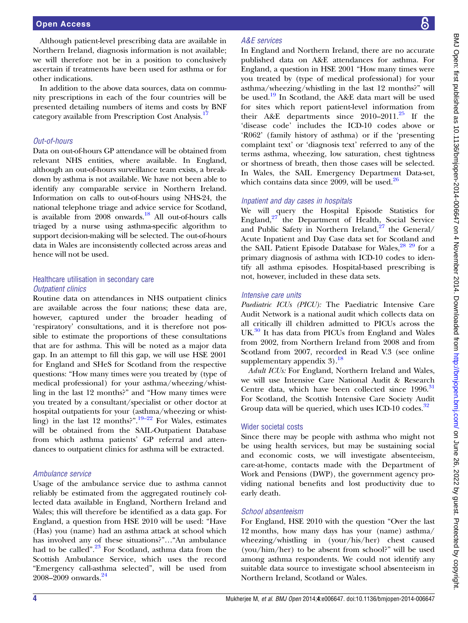Although patient-level prescribing data are available in Northern Ireland, diagnosis information is not available; we will therefore not be in a position to conclusively ascertain if treatments have been used for asthma or for other indications.

In addition to the above data sources, data on community prescriptions in each of the four countries will be presented detailing numbers of items and costs by BNF category available from Prescription Cost Analysis.<sup>1</sup>

# Out-of-hours

Data on out-of-hours GP attendance will be obtained from relevant NHS entities, where available. In England, although an out-of-hours surveillance team exists, a breakdown by asthma is not available. We have not been able to identify any comparable service in Northern Ireland. Information on calls to out-of-hours using NHS-24, the national telephone triage and advice service for Scotland, is available from 2008 onwards.<sup>[18](#page-6-0)</sup> All out-of-hours calls triaged by a nurse using asthma-specific algorithm to support decision-making will be selected. The out-of-hours data in Wales are inconsistently collected across areas and hence will not be used.

# Healthcare utilisation in secondary care Outpatient clinics

Routine data on attendances in NHS outpatient clinics are available across the four nations; these data are, however, captured under the broader heading of 'respiratory' consultations, and it is therefore not possible to estimate the proportions of these consultations that are for asthma. This will be noted as a major data gap. In an attempt to fill this gap, we will use HSE 2001 for England and SHeS for Scotland from the respective questions: "How many times were you treated by (type of medical professional) for your asthma/wheezing/whistling in the last 12 months?" and "How many times were you treated by a consultant/specialist or other doctor at hospital outpatients for your (asthma/wheezing or whistling) in the last 12 months?". [19](#page-6-0)–<sup>22</sup> For Wales, estimates will be obtained from the SAIL-Outpatient Database from which asthma patients' GP referral and attendances to outpatient clinics for asthma will be extracted.

# Ambulance service

Usage of the ambulance service due to asthma cannot reliably be estimated from the aggregated routinely collected data available in England, Northern Ireland and Wales; this will therefore be identified as a data gap. For England, a question from HSE 2010 will be used: "Have (Has) you (name) had an asthma attack at school which has involved any of these situations?"…"An ambulance had to be called".<sup>[23](#page-6-0)</sup> For Scotland, asthma data from the Scottish Ambulance Service, which uses the record "Emergency call-asthma selected", will be used from 2008–2009 onwards.<sup>[24](#page-6-0)</sup>

# A&E services

In England and Northern Ireland, there are no accurate published data on A&E attendances for asthma. For England, a question in HSE 2001 "How many times were you treated by (type of medical professional) for your asthma/wheezing/whistling in the last 12 months?" will be used.[19](#page-6-0) In Scotland, the A&E data mart will be used for sites which report patient-level information from their A&E departments since  $2010-2011$ .<sup>[25](#page-7-0)</sup> If the 'disease code' includes the ICD-10 codes above or 'R062' (family history of asthma) or if the 'presenting complaint text' or 'diagnosis text' referred to any of the terms asthma, wheezing, low saturation, chest tightness or shortness of breath, then those cases will be selected. In Wales, the SAIL Emergency Department Data-set, which contains data since  $2009$ , will be used. $26$ 

# Inpatient and day cases in hospitals

We will query the Hospital Episode Statistics for England, $27$ <sup>the</sup> Department of Health, Social Service and Public Safety in Northern Ireland, $27$  the General/ Acute Inpatient and Day Case data set for Scotland and the SAIL Patient Episode Database for Wales,  $28\frac{29}{12}$  for a primary diagnosis of asthma with ICD-10 codes to identify all asthma episodes. Hospital-based prescribing is not, however, included in these data sets.

# Intensive care units

Paediatric ICUs (PICU): The Paediatric Intensive Care Audit Network is a national audit which collects data on all critically ill children admitted to PICUs across the UK.<sup>[30](#page-7-0)</sup> It has data from PICUs from England and Wales from 2002, from Northern Ireland from 2008 and from Scotland from 2007, recorded in Read V.3 (see online supplementary appendix  $3$ ).<sup>[18](#page-6-0)</sup>

Adult ICUs: For England, Northern Ireland and Wales, we will use Intensive Care National Audit & Research Centre data, which have been collected since 1996.<sup>[31](#page-7-0)</sup> For Scotland, the Scottish Intensive Care Society Audit Group data will be queried, which uses ICD-10 codes. $32$ 

# Wider societal costs

Since there may be people with asthma who might not be using health services, but may be sustaining social and economic costs, we will investigate absenteeism, care-at-home, contacts made with the Department of Work and Pensions (DWP), the government agency providing national benefits and lost productivity due to early death.

# School absenteeism

For England, HSE 2010 with the question "Over the last 12 months, how many days has your (name) asthma/ wheezing/whistling in (your/his/her) chest caused (you/him/her) to be absent from school?" will be used among asthma respondents. We could not identify any suitable data source to investigate school absenteeism in Northern Ireland, Scotland or Wales.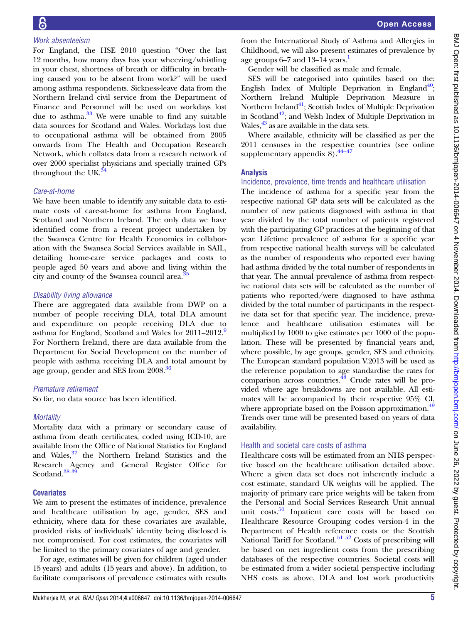# Work absenteeism

For England, the HSE 2010 question "Over the last 12 months, how many days has your wheezing/whistling in your chest, shortness of breath or difficulty in breathing caused you to be absent from work?" will be used among asthma respondents. Sickness-leave data from the Northern Ireland civil service from the Department of Finance and Personnel will be used on workdays lost due to asthma. $33$  We were unable to find any suitable data sources for Scotland and Wales. Workdays lost due to occupational asthma will be obtained from 2005 onwards from The Health and Occupation Research Network, which collates data from a research network of over 2000 specialist physicians and specially trained GPs throughout the UK. $3$ 

#### Care-at-home

We have been unable to identify any suitable data to estimate costs of care-at-home for asthma from England, Scotland and Northern Ireland. The only data we have identified come from a recent project undertaken by the Swansea Centre for Health Economics in collaboration with the Swansea Social Services available in SAIL, detailing home-care service packages and costs to people aged 50 years and above and living within the city and county of the Swansea council area.<sup>[35](#page-7-0)</sup>

#### Disability living allowance

There are aggregated data available from DWP on a number of people receiving DLA, total DLA amount and expenditure on people receiving DLA due to asthma for England, Scotland and Wales for 2011–2012.<sup>[9](#page-6-0)</sup> For Northern Ireland, there are data available from the Department for Social Development on the number of people with asthma receiving DLA and total amount by age group, gender and SES from 2008.[36](#page-7-0)

#### Premature retirement

So far, no data source has been identified.

#### **Mortality**

Mortality data with a primary or secondary cause of asthma from death certificates, coded using ICD-10, are available from the Office of National Statistics for England and Wales,<sup>37</sup> the Northern Ireland Statistics and the Research Agency and General Register Office for Scotland.<sup>38</sup><sup>39</sup>

#### **Covariates**

We aim to present the estimates of incidence, prevalence and healthcare utilisation by age, gender, SES and ethnicity, where data for these covariates are available, provided risks of individuals' identity being disclosed is not compromised. For cost estimates, the covariates will be limited to the primary covariates of age and gender.

For age, estimates will be given for children (aged under 15 years) and adults (15 years and above). In addition, to facilitate comparisons of prevalence estimates with results

from the International Study of Asthma and Allergies in Childhood, we will also present estimates of prevalence by age groups  $6-7$  and  $13-14$  years.<sup>1</sup>

Gender will be classified as male and female.

SES will be categorised into quintiles based on the: English Index of Multiple Deprivation in England<sup>40</sup>; Northern Ireland Multiple Deprivation Measure in Northern Ireland $41$ ; Scottish Index of Multiple Deprivation in Scotland<sup>42</sup>; and Welsh Index of Multiple Deprivation in Wales,  $43$  as are available in the data sets.

Where available, ethnicity will be classified as per the 2011 censuses in the respective countries (see online supplementary appendix  $\overline{8}$ ).  $\frac{44-47}{4}$  $\frac{44-47}{4}$  $\frac{44-47}{4}$ 

#### Analysis

#### Incidence, prevalence, time trends and healthcare utilisation

The incidence of asthma for a specific year from the respective national GP data sets will be calculated as the number of new patients diagnosed with asthma in that year divided by the total number of patients registered with the participating GP practices at the beginning of that year. Lifetime prevalence of asthma for a specific year from respective national health surveys will be calculated as the number of respondents who reported ever having had asthma divided by the total number of respondents in that year. The annual prevalence of asthma from respective national data sets will be calculated as the number of patients who reported/were diagnosed to have asthma divided by the total number of participants in the respective data set for that specific year. The incidence, prevalence and healthcare utilisation estimates will be multiplied by 1000 to give estimates per 1000 of the population. These will be presented by financial years and, where possible, by age groups, gender, SES and ethnicity. The European standard population V.2013 will be used as the reference population to age standardise the rates for comparison across countries. $^{48}$  Crude rates will be provided where age breakdowns are not available. All estimates will be accompanied by their respective 95% CI, where appropriate based on the Poisson approximation.<sup>49</sup> Trends over time will be presented based on years of data availability.

#### Health and societal care costs of asthma

Healthcare costs will be estimated from an NHS perspective based on the healthcare utilisation detailed above. Where a given data set does not inherently include a cost estimate, standard UK weights will be applied. The majority of primary care price weights will be taken from the Personal and Social Services Research Unit annual unit costs.<sup>[50](#page-7-0)</sup> Inpatient care costs will be based on Healthcare Resource Grouping codes version-4 in the Department of Health reference costs or the Scottish National Tariff for Scotland.<sup>51</sup> 52 Costs of prescribing will be based on net ingredient costs from the prescribing databases of the respective countries. Societal costs will be estimated from a wider societal perspective including NHS costs as above, DLA and lost work productivity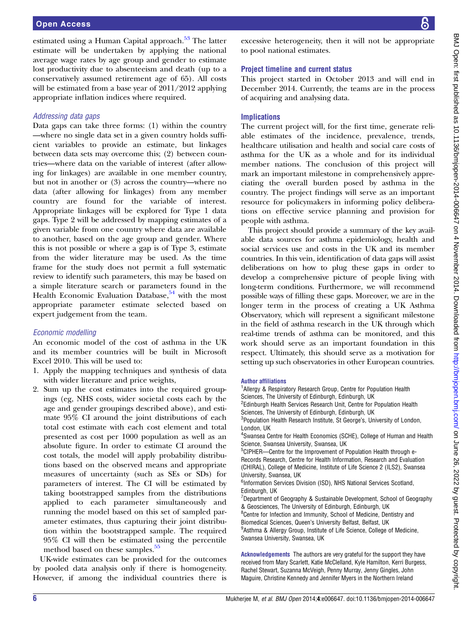# Addressing data gaps

Data gaps can take three forms: (1) within the country —where no single data set in a given country holds sufficient variables to provide an estimate, but linkages between data sets may overcome this; (2) between countries—where data on the variable of interest (after allowing for linkages) are available in one member country, but not in another or (3) across the country—where no data (after allowing for linkages) from any member country are found for the variable of interest. Appropriate linkages will be explored for Type 1 data gaps. Type 2 will be addressed by mapping estimates of a given variable from one country where data are available to another, based on the age group and gender. Where this is not possible or where a gap is of Type 3, estimate from the wider literature may be used. As the time frame for the study does not permit a full systematic review to identify such parameters, this may be based on a simple literature search or parameters found in the Health Economic Evaluation Database, $54$  with the most appropriate parameter estimate selected based on expert judgement from the team.

# Economic modelling

An economic model of the cost of asthma in the UK and its member countries will be built in Microsoft Excel 2010. This will be used to:

- 1. Apply the mapping techniques and synthesis of data with wider literature and price weights,
- 2. Sum up the cost estimates into the required groupings (eg, NHS costs, wider societal costs each by the age and gender groupings described above), and estimate 95% CI around the joint distributions of each total cost estimate with each cost element and total presented as cost per 1000 population as well as an absolute figure. In order to estimate CI around the cost totals, the model will apply probability distributions based on the observed means and appropriate measures of uncertainty (such as SEs or SDs) for parameters of interest. The CI will be estimated by taking bootstrapped samples from the distributions applied to each parameter simultaneously and running the model based on this set of sampled parameter estimates, thus capturing their joint distribution within the bootstrapped sample. The required 95% CI will then be estimated using the percentile method based on these samples.<sup>35</sup>

UK-wide estimates can be provided for the outcomes by pooled data analysis only if there is homogeneity. However, if among the individual countries there is

excessive heterogeneity, then it will not be appropriate to pool national estimates.

# Project timeline and current status

This project started in October 2013 and will end in December 2014. Currently, the teams are in the process of acquiring and analysing data.

# **Implications**

The current project will, for the first time, generate reliable estimates of the incidence, prevalence, trends, healthcare utilisation and health and social care costs of asthma for the UK as a whole and for its individual member nations. The conclusion of this project will mark an important milestone in comprehensively appreciating the overall burden posed by asthma in the country. The project findings will serve as an important resource for policymakers in informing policy deliberations on effective service planning and provision for people with asthma.

This project should provide a summary of the key available data sources for asthma epidemiology, health and social services use and costs in the UK and its member countries. In this vein, identification of data gaps will assist deliberations on how to plug these gaps in order to develop a comprehensive picture of people living with long-term conditions. Furthermore, we will recommend possible ways of filling these gaps. Moreover, we are in the longer term in the process of creating a UK Asthma Observatory, which will represent a significant milestone in the field of asthma research in the UK through which real-time trends of asthma can be monitored, and this work should serve as an important foundation in this respect. Ultimately, this should serve as a motivation for setting up such observatories in other European countries.

#### Author affiliations

<sup>1</sup> Allergy & Respiratory Research Group, Centre for Population Health Sciences, The University of Edinburgh, Edinburgh, UK <sup>2</sup>Edinburgh Health Services Research Unit, Centre for Population Health Sciences, The University of Edinburgh, Edinburgh, UK <sup>3</sup>Population Health Research Institute, St George's, University of London, London, UK 4 Swansea Centre for Health Economics (SCHE), College of Human and Health Science, Swansea University, Swansea, UK <sup>5</sup>CIPHER-Centre for the Improvement of Population Health through e-Records Research, Centre for Health Information, Research and Evaluation (CHIRAL), College of Medicine, Institute of Life Science 2 (ILS2), Swansea University, Swansea, UK <sup>6</sup>Information Services Division (ISD), NHS National Services Scotland, Edinburgh, UK <sup>7</sup>Department of Geography & Sustainable Development, School of Geography & Geosciences, The University of Edinburgh, Edinburgh, UK <sup>8</sup>Centre for Infection and Immunity, School of Medicine, Dentistry and Biomedical Sciences, Queen's University Belfast, Belfast, UK <sup>9</sup> Asthma & Allergy Group, Institute of Life Science, College of Medicine, Swansea University, Swansea, UK

Acknowledgements The authors are very grateful for the support they have received from Mary Scarlett, Katie McClelland, Kyle Hamilton, Kerri Burgess, Rachel Stewart, Suzanna McVeigh, Penny Murray, Jenny Gingles, John Maguire, Christine Kennedy and Jennifer Myers in the Northern Ireland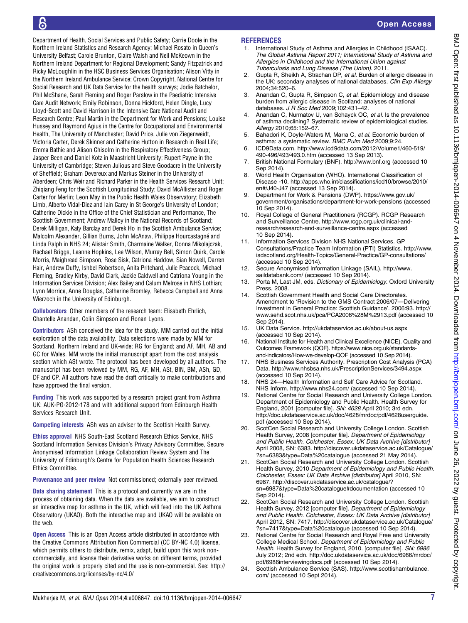<span id="page-6-0"></span>Department of Health, Social Services and Public Safety; Carrie Doole in the Northern Ireland Statistics and Research Agency; Michael Rosato in Queen's University Belfast; Carole Brunton, Claire Walsh and Neil McKeown in the Northern Ireland Department for Regional Development; Sandy Fitzpatrick and Ricky McLoughlin in the HSC Business Services Organisation; Alison Vitty in the Northern Ireland Ambulance Service; Crown Copyright, National Centre for Social Research and UK Data Service for the health surveys; Jodie Batchelor, Phil McShane, Sarah Fleming and Roger Parslow in the Paediatric Intensive Care Audit Network; Emily Robinson, Donna Hickford, Helen Dingle, Lucy Lloyd-Scott and David Harrison in the Intensive Care National Audit and Research Centre; Paul Martin in the Department for Work and Pensions; Louise Hussey and Raymond Agius in the Centre for Occupational and Environmental Health, The University of Manchester; David Price, Julie von Ziegenweidt, Victoria Carter, Derek Skinner and Catherine Hutton in Research in Real Life; Emma Bathie and Alison Chisolm in the Respiratory Effectiveness Group; Jasper Been and Daniel Kotz in Maastricht University; Rupert Payne in the University of Cambridge; Steven Julious and Steve Goodacre in the University of Sheffield; Graham Devereux and Markus Steiner in the University of Aberdeen; Chris Weir and Richard Parker in the Health Services Research Unit; Zhiqiang Feng for the Scottish Longitudinal Study; David McAllister and Roger Carter for Merlin; Leon May in the Public Health Wales Observatory; Elizabeth Limb, Alberto Vidal-Diez and Iain Carey in St George's University of London; Catherine Dickie in the Office of the Chief Statistician and Performance, The Scottish Government; Andrew Malloy in the National Records of Scotland; Derek Milligan, Katy Barclay and Derek Ho in the Scottish Ambulance Service; Malcolm Alexander, Gillian Burns, John McAnaw, Philippe Hourcastagné and Linda Ralph in NHS 24; Alistair Smith, Charmaine Walker, Donna Mikolajczak, Rachael Briggs, Leanne Hopkins, Lee Wilson, Murray Bell, Simon Quirk, Carole Morris, Maighread Simpson, Rose Sisk, Catriona Haddow, Sian Nowell, Darren Hair, Andrew Duffy, Ishbel Robertson, Anita Pritchard, Julie Peacock, Michael Fleming, Bradley Kirby, David Clark, Jackie Caldwell and Catriona Young in the Information Services Division; Alex Bailey and Calum Melrose in NHS Lothian; Lynn Morrice, Anne Douglas, Catherine Bromley, Rebecca Campbell and Anna Wierzoch in the University of Edinburgh.

Collaborators Other members of the research team: Elisabeth Ehrlich, Chantelle Anandan, Colin Simpson and Ronan Lyons.

Contributors ASh conceived the idea for the study. MM carried out the initial exploration of the data availability. Data selections were made by MM for Scotland, Northern Ireland and UK-wide; RG for England; and AF, MH, AB and GC for Wales. MM wrote the initial manuscript apart from the cost analysis section which ASt wrote. The protocol has been developed by all authors. The manuscript has been reviewed by MM, RG, AF, MH, ASt, BIN, BM, ASh, GD, DF and CP. All authors have read the draft critically to make contributions and have approved the final version.

Funding This work was supported by a research project grant from Asthma UK: AUK-PG-2012-178 and with additional support from Edinburgh Health Services Research Unit.

**Competing interests** ASh was an adviser to the Scottish Health Survey.

Ethics approval NHS South-East Scotland Research Ethics Service, NHS Scotland Information Services Division's Privacy Advisory Committee, Secure Anonymised Information Linkage Collaboration Review System and The University of Edinburgh's Centre for Population Health Sciences Research Ethics Committee.

Provenance and peer review Not commissioned; externally peer reviewed.

Data sharing statement This is a protocol and currently we are in the process of obtaining data. When the data are available, we aim to construct an interactive map for asthma in the UK, which will feed into the UK Asthma Observatory (UKAO). Both the interactive map and UKAO will be available on the web.

Open Access This is an Open Access article distributed in accordance with the Creative Commons Attribution Non Commercial (CC BY-NC 4.0) license, which permits others to distribute, remix, adapt, build upon this work noncommercially, and license their derivative works on different terms, provided the original work is properly cited and the use is non-commercial. See: [http://](http://creativecommons.org/licenses/by-nc/4.0/) [creativecommons.org/licenses/by-nc/4.0/](http://creativecommons.org/licenses/by-nc/4.0/)

#### REFERENCES

- 1. International Study of Asthma and Allergies in Childhood (ISAAC). The Global Asthma Report 2011; International Study of Asthma and Allergies in Childhood and the International Union against Tuberculosis and Lung Disease (The Union). 2011.
- 2. Gupta R, Sheikh A, Strachan DP, et al. Burden of allergic disease in the UK: secondary analyses of national databases. Clin Exp Allergy 2004;34:520–6.
- Anandan C, Gupta R, Simpson C, et al. Epidemiology and disease burden from allergic disease in Scotland: analyses of national databases. J R Soc Med 2009;102:431–42.
- 4. Anandan C, Nurmatov U, van Schayck OC, et al. Is the prevalence of asthma declining? Systematic review of epidemiological studies. Allergy 2010;65:152–67.
- 5. Bahadori K, Doyle-Waters M, Marra C, et al. Economic burden of asthma: a systematic review. BMC Pulm Med 2009;9:24.
- 6. ICD9Data.com. [http://www.icd9data.com/2012/Volume1/460-519/](http://www.icd9data.com/2012/Volume1/460-519/490-496/493/493.0.htm) [490-496/493/493.0.htm](http://www.icd9data.com/2012/Volume1/460-519/490-496/493/493.0.htm) (accessed 13 Sep 2013).
- 7. British National Formulary (BNF).<http://www.bnf.org> (accessed 10 Sep 2014).
- 8. World Health Organisation (WHO). International Classification of Disease -10. [http://apps.who.int/classifications/icd10/browse/2010/](http://apps.who.int/classifications/icd10/browse/2010/en#/J40-J47) [en#/J40-J47](http://apps.who.int/classifications/icd10/browse/2010/en#/J40-J47) (accessed 13 Sep 2014).
- Department for Work & Pensions (DWP). [https://www.gov.uk/](https://www.gov.uk/government/organisations/department-for-work-pensions) [government/organisations/department-for-work-pensions](https://www.gov.uk/government/organisations/department-for-work-pensions) (accessed 10 Sep 2014).
- 10. Royal College of General Practitioners (RCGP). RCGP Research and Surveillance Centre. [http://www.rcgp.org.uk/clinical-and](http://www.rcgp.org.uk/clinical-and-research/research-and-surveillance-centre.aspx)[research/research-and-surveillance-centre.aspx](http://www.rcgp.org.uk/clinical-and-research/research-and-surveillance-centre.aspx) (accessed 10 Sep 2014).
- 11. Information Services Division NHS National Services. GP Consultations/Practice Team Information (PTI) Statistics. [http://www.](http://www.isdscotland.org/Health-Topics/General-Practice/GP-consultations/) [isdscotland.org/Health-Topics/General-Practice/GP-consultations/](http://www.isdscotland.org/Health-Topics/General-Practice/GP-consultations/) (accessed 10 Sep 2014).
- 12. Secure Anonymised Information Linkage (SAIL). [http://www.](http://www.saildatabank.com/) [saildatabank.com/](http://www.saildatabank.com/) (accessed 10 Sep 2014).
- 13. Porta M, Last JM, eds. Dictionary of Epidemiology. Oxford University Press, 2008.
- 14. Scottish Government Health and Social Care Directorates. Amendment to 'Revision to the GMS Contract 2006/07—Delivering Investment in General Practice: Scottish Guidance'. 2006:93. [http://](http://www.sehd.scot.nhs.uk/pca/PCA2006%28M%2913.pdf) [www.sehd.scot.nhs.uk/pca/PCA2006%28M%2913.pdf](http://www.sehd.scot.nhs.uk/pca/PCA2006%28M%2913.pdf) (accessed 10 Sep 2014).
- 15. UK Data Service.<http://ukdataservice.ac.uk/about-us.aspx> (accessed 10 Sep 2014).
- 16. National Institute for Health and Clinical Excellence (NICE). Quality and Outcomes Framework (QOF). [https://www.nice.org.uk/standards](https://www.nice.org.uk/standards-and-indicators/How-we-develop-QOF)[and-indicators/How-we-develop-QOF](https://www.nice.org.uk/standards-and-indicators/How-we-develop-QOF) (accessed 10 Sep 2014).
- 17. NHS Business Services Authority. Prescription Cost Analysis (PCA) Data.<http://www.nhsbsa.nhs.uk/PrescriptionServices/3494.aspx> (accessed 10 Sep 2014).
- 18. NHS 24—Health Information and Self Care Advice for Scotland. NHS Inform.<http://www.nhs24.com/> (accessed 10 Sep 2014).
- 19. National Centre for Social Research and University College London. Department of Epidemiology and Public Health. Health Survey for England, 2001 [computer file]. SN: 4628 April 2010; 3rd edn. [http://doc.ukdataservice.ac.uk/doc/4628/mrdoc/pdf/4628userguide.](http://doc.ukdataservice.ac.uk/doc/4628/mrdoc/pdf/4628userguide.pdf) [pdf](http://doc.ukdataservice.ac.uk/doc/4628/mrdoc/pdf/4628userguide.pdf) (accessed 10 Sep 2014).
- 20. ScotCen Social Research and University College London. Scottish Health Survey, 2008 [computer file]. Department of Epidemiology and Public Health. Colchester, Essex: UK Data Archive [distributor] April 2008, SN: 6383. [http://discover.ukdataservice.ac.uk/Catalogue/](http://discover.ukdataservice.ac.uk/Catalogue/?sn=6383&type=Data%20catalogue) [?sn=6383&type=Data%20catalogue](http://discover.ukdataservice.ac.uk/Catalogue/?sn=6383&type=Data%20catalogue) (accessed 21 May 2014).
- 21. ScotCen Social Research and University College London. Scottish Health Survey, 2010 Department of Epidemiology and Public Health. Colchester, Essex: UK Data Archive [distributor] April 2010, SN: 6987. [http://discover.ukdataservice.ac.uk/catalogue/?](http://discover.ukdataservice.ac.uk/catalogue/?sn=6987&type=Data%20catalogue#documentation) [sn=6987&type=Data%20catalogue#documentation](http://discover.ukdataservice.ac.uk/catalogue/?sn=6987&type=Data%20catalogue#documentation) (accessed 10 Sep 2014).
- 22. ScotCen Social Research and University College London. Scottish Health Survey, 2012 [computer file]. Department of Epidemiology and Public Health. Colchester, Essex: UK Data Archive [distributor] April 2012, SN: 7417. [http://discover.ukdataservice.ac.uk/Catalogue/](http://discover.ukdataservice.ac.uk/Catalogue/?sn=7417&type=Data%20catalogue) [?sn=7417&type=Data%20catalogue](http://discover.ukdataservice.ac.uk/Catalogue/?sn=7417&type=Data%20catalogue) (accessed 10 Sep 2014).
- 23. National Centre for Social Research and Royal Free and University College Medical School. Department of Epidemiology and Public Health. Health Survey for England, 2010. [computer file]. SN: 6986 July 2012; 2nd edn. [http://doc.ukdataservice.ac.uk/doc/6986/mrdoc/](http://doc.ukdataservice.ac.uk/doc/6986/mrdoc/pdf/6986interviewingdocs.pdf) [pdf/6986interviewingdocs.pdf](http://doc.ukdataservice.ac.uk/doc/6986/mrdoc/pdf/6986interviewingdocs.pdf) (accessed 10 Sep 2014).
- 24. Scottish Ambulance Service (SAS). [http://www.scottishambulance.](http://www.scottishambulance.com/) [com/](http://www.scottishambulance.com/) (accessed 10 Sept 2014).